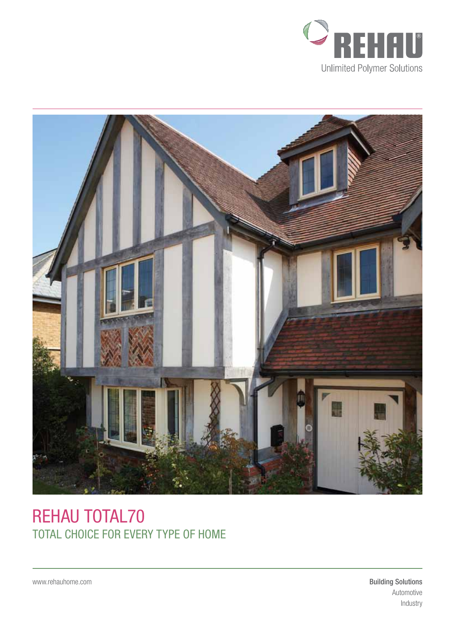



### **REHAU TOTAL70** TOTAL CHOICE FOR EVERY TYPE OF HOME

www.rehauhome.com

Building Solutions Automotive Industry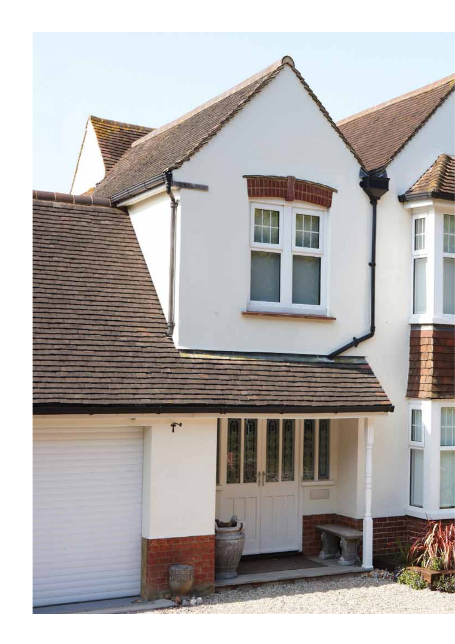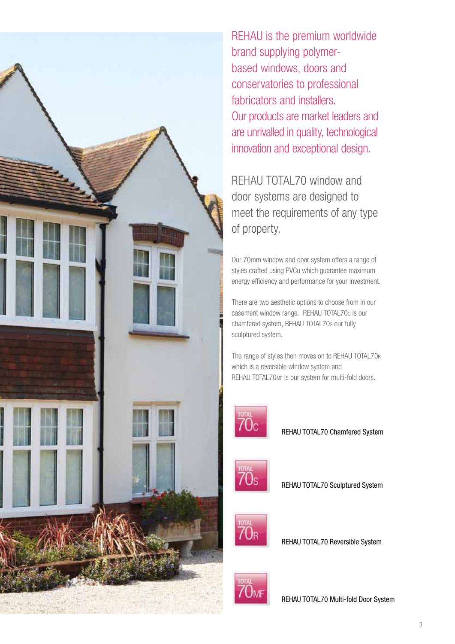

REHAU is the premium worldwide brand supplying polymerbased windows, doors and conservatories to professional fabricators and installers. Our products are market leaders and are unrivalled in quality, technological innovation and exceptional design.

REHAU TOTAL70 window and door systems are designed to meet the requirements of any type of property.

Our 70mm window and door system offers a range of styles crafted using PVCu which guarantee maximum energy efficiency and performance for your investment.

There are two aesthetic options to choose from in our casement window range. REHAU TOTAL70c is our chamfered system, REHAU TOTAL70s our fully sculptured system.

The range of styles then moves on to REHAU TOTAL70R which is a reversible window system and REHAU TOTAL70MF is our system for multi-fold doors.



REHAU TOTAL70 Chamfered System



REHAU TOTAL70 Sculptured System



REHAU TOTAL70 Reversible System



REHAU TOTAL70 Multi-fold Door System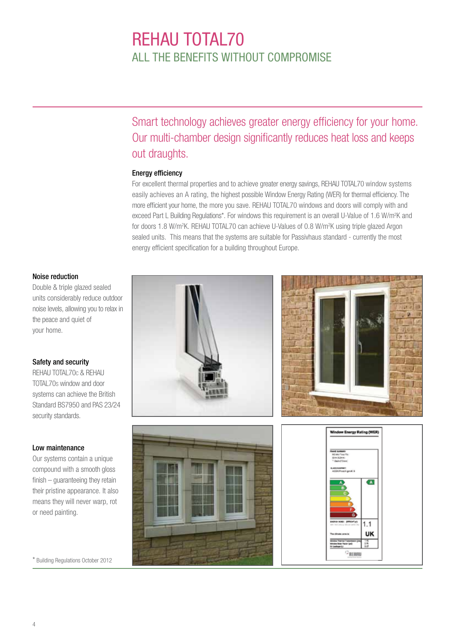# REHAU TOTAL70 all the benefits without compromise

Smart technology achieves greater energy efficiency for your home. Our multi-chamber design significantly reduces heat loss and keeps out draughts.

### Energy efficiency

For excellent thermal properties and to achieve greater energy savings, REHAU TOTAL70 window systems easily achieves an A rating, the highest possible Window Energy Rating (WER) for thermal efficiency. The more efficient your home, the more you save. REHAU TOTAL70 windows and doors will comply with and exceed Part L Building Regulations\*. For windows this requirement is an overall U-Value of 1.6 W/m<sup>2</sup>K and for doors 1.8 W/m2 K. REHAU TOTAL70 can achieve U-Values of 0.8 W/m2 K using triple glazed Argon sealed units. This means that the systems are suitable for Passivhaus standard - currently the most energy efficient specification for a building throughout Europe.

#### Noise reduction

Double & triple glazed sealed units considerably reduce outdoor noise levels, allowing you to relax in the peace and quiet of your home.

#### Safety and security

REHAU TOTAL70C & REHAU TOTAL70S window and door systems can achieve the British Standard BS7950 and PAS 23/24 security standards.

#### Low maintenance

Our systems contain a unique compound with a smooth gloss finish – guaranteeing they retain their pristine appearance. It also means they will never warp, rot or need painting.

\* Building Regulations October 2012

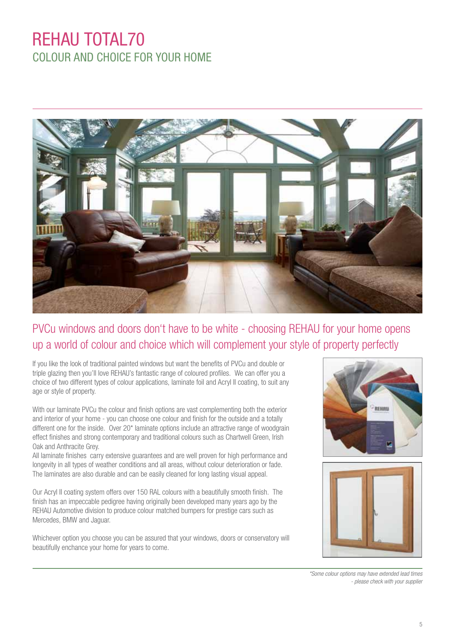## REHAU TOTAL70 colour and choice for your home



### PVCu windows and doors don't have to be white - choosing REHAU for your home opens up a world of colour and choice which will complement your style of property perfectly

If you like the look of traditional painted windows but want the benefits of PVCu and double or triple glazing then you'll love REHAU's fantastic range of coloured profiles. We can offer you a choice of two different types of colour applications, laminate foil and Acryl II coating, to suit any age or style of property.

With our laminate PVCu the colour and finish options are vast complementing both the exterior and interior of your home - you can choose one colour and finish for the outside and a totally different one for the inside. Over 20\* laminate options include an attractive range of woodgrain effect finishes and strong contemporary and traditional colours such as Chartwell Green, Irish Oak and Anthracite Grey.

All laminate finishes carry extensive guarantees and are well proven for high performance and longevity in all types of weather conditions and all areas, without colour deterioration or fade. The laminates are also durable and can be easily cleaned for long lasting visual appeal.

Our Acryl II coating system offers over 150 RAL colours with a beautifully smooth finish. The finish has an impeccable pedigree having originally been developed many years ago by the REHAU Automotive division to produce colour matched bumpers for prestige cars such as Mercedes, BMW and Jaguar.

Whichever option you choose you can be assured that your windows, doors or conservatory will beautifully enchance your home for years to come.





*\*Some colour options may have extended lead times - please check with your supplier*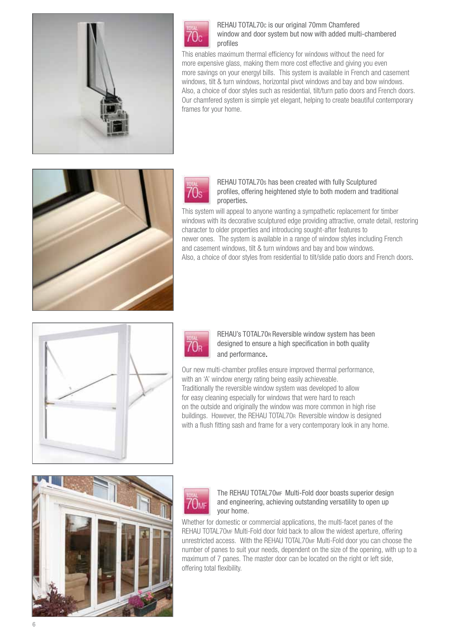



#### REHAU TOTAL70C is our original 70mm Chamfered window and door system but now with added multi-chambered profiles

This enables maximum thermal efficiency for windows without the need for more expensive glass, making them more cost effective and giving you even more savings on your energyl bills. This system is available in French and casement windows, tilt & turn windows, horizontal pivot windows and bay and bow windows. Also, a choice of door styles such as residential, tilt/turn patio doors and French doors. Our chamfered system is simple yet elegant, helping to create beautiful contemporary frames for your home.





REHAU TOTAL70S has been created with fully Sculptured profiles, offering heightened style to both modern and traditional properties.

This system will appeal to anyone wanting a sympathetic replacement for timber windows with its decorative sculptured edge providing attractive, ornate detail, restoring character to older properties and introducing sought-after features to newer ones. The system is available in a range of window styles including French and casement windows, tilt & turn windows and bay and bow windows. Also, a choice of door styles from residential to tilt/slide patio doors and French doors.





REHAU's TOTAL70R Reversible window system has been designed to ensure a high specification in both quality and performance.

Our new multi-chamber profiles ensure improved thermal performance, with an 'A' window energy rating being easily achieveable. Traditionally the reversible window system was developed to allow for easy cleaning especially for windows that were hard to reach on the outside and originally the window was more common in high rise buildings. However, the REHAU TOTAL70R Reversible window is designed with a flush fitting sash and frame for a very contemporary look in any home.





#### The REHAU TOTAL70MF Multi-Fold door boasts superior design and engineering, achieving outstanding versatility to open up your home.

Whether for domestic or commercial applications, the multi-facet panes of the REHAU TOTAL70MF Multi-Fold door fold back to allow the widest aperture, offering unrestricted access. With the REHAU TOTAL70MF Multi-Fold door you can choose the number of panes to suit your needs, dependent on the size of the opening, with up to a maximum of 7 panes. The master door can be located on the right or left side, offering total flexibility.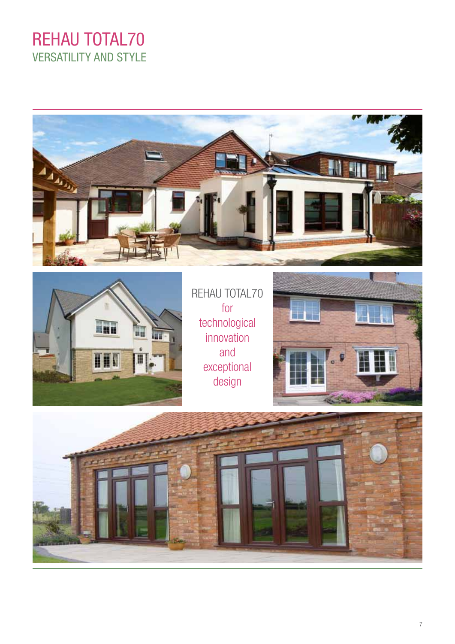## REHAU TOTAL70 VERSATILITY AND STYLE





REHAU TOTAL70 for technological innovation and exceptional design